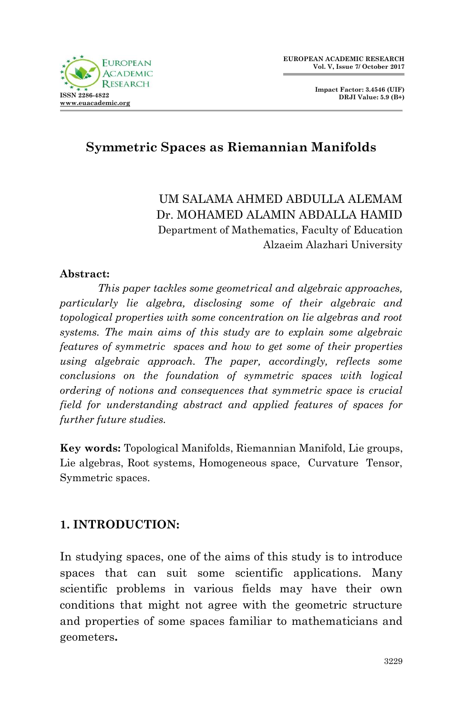

**Impact Factor: 3.4546 (UIF) DRJI Value: 5.9 (B+)**

## **Symmetric Spaces as Riemannian Manifolds**

UM SALAMA AHMED ABDULLA ALEMAM Dr. MOHAMED ALAMIN ABDALLA HAMID Department of Mathematics, Faculty of Education Alzaeim Alazhari University

#### **Abstract:**

*This paper tackles some geometrical and algebraic approaches, particularly lie algebra, disclosing some of their algebraic and topological properties with some concentration on lie algebras and root systems. The main aims of this study are to explain some algebraic features of symmetric spaces and how to get some of their properties using algebraic approach. The paper, accordingly, reflects some conclusions on the foundation of symmetric spaces with logical ordering of notions and consequences that symmetric space is crucial field for understanding abstract and applied features of spaces for further future studies.*

**Key words:** Topological Manifolds, Riemannian Manifold, Lie groups, Lie algebras, Root systems, Homogeneous space, Curvature Tensor, Symmetric spaces.

#### **1. INTRODUCTION:**

In studying spaces, one of the aims of this study is to introduce spaces that can suit some scientific applications. Many scientific problems in various fields may have their own conditions that might not agree with the geometric structure and properties of some spaces familiar to mathematicians and geometers**.**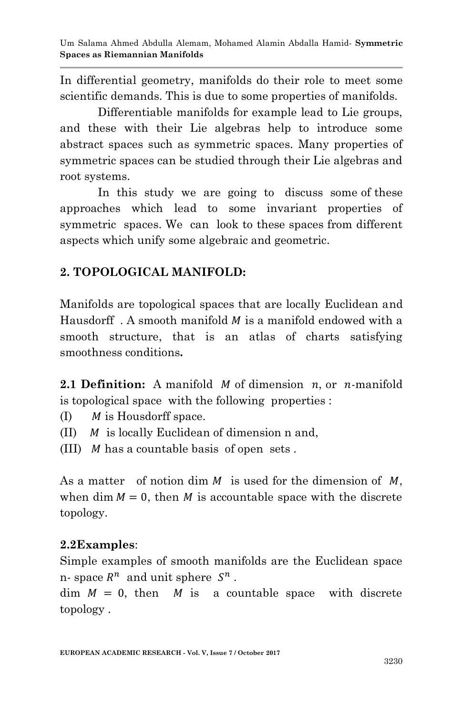In differential geometry, manifolds do their role to meet some scientific demands. This is due to some properties of manifolds.

Differentiable manifolds for example lead to Lie groups, and these with their Lie algebras help to introduce some abstract spaces such as symmetric spaces. Many properties of symmetric spaces can be studied through their Lie algebras and root systems.

In this study we are going to discuss some of these approaches which lead to some invariant properties of symmetric spaces. We can look to these spaces from different aspects which unify some algebraic and geometric.

## **2. TOPOLOGICAL MANIFOLD:**

Manifolds are topological spaces that are locally Euclidean and Hausdorff . A smooth manifold M is a manifold endowed with a smooth structure, that is an atlas of charts satisfying smoothness conditions**.**

**2.1 Definition:** A manifold  $M$  of dimension  $n$ , or  $n$ -manifold is topological space with the following properties :

- (I)  $M$  is Housdorff space.
- (II)  $M$  is locally Euclidean of dimension n and,
- (III)  $M$  has a countable basis of open sets.

As a matter of notion dim  $M$  is used for the dimension of  $M$ , when dim  $M = 0$ , then M is accountable space with the discrete topology.

## **2.2Examples**:

Simple examples of smooth manifolds are the Euclidean space n- space  $R^n$  and unit sphere  $S^n$ .

 $\dim M = 0$ , then M is a countable space with discrete topology .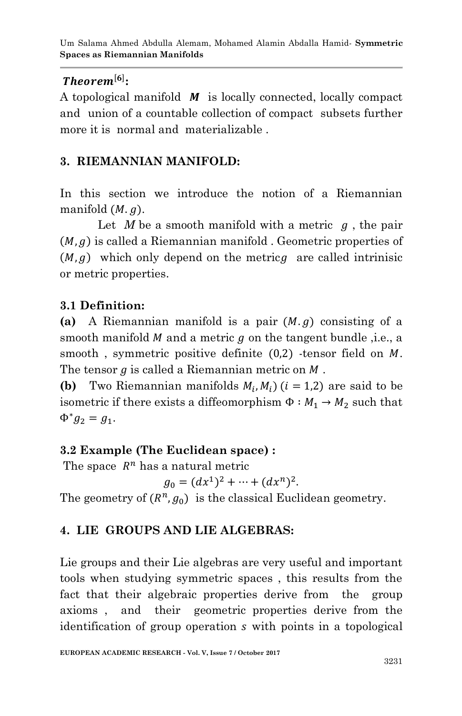### $Theorem [6];$

A topological manifold  $\boldsymbol{M}$  is locally connected, locally compact and union of a countable collection of compact subsets further more it is normal and materializable .

## **3. RIEMANNIAN MANIFOLD:**

In this section we introduce the notion of a Riemannian manifold  $(M, q)$ .

Let  $M$  be a smooth manifold with a metric  $q$ , the pair  $(M, g)$  is called a Riemannian manifold . Geometric properties of  $(M, g)$  which only depend on the metric are called intrinisic or metric properties.

### **3.1 Definition:**

(a) A Riemannian manifold is a pair  $(M, g)$  consisting of a smooth manifold  $M$  and a metric  $g$  on the tangent bundle, i.e., a smooth, symmetric positive definite  $(0,2)$  -tensor field on M. The tensor  $q$  is called a Riemannian metric on  $M$ .

**(b)** Two Riemannian manifolds  $M_i$ ,  $M_i$ ) ( $i = 1,2$ ) are said to be isometric if there exists a diffeomorphism  $\Phi : M_1 \rightarrow M_2$  such that  $\Phi^* g_2 = g_1.$ 

### **3.2 Example (The Euclidean space) :**

The space  $R^n$  has a natural metric

$$
g_0 = (dx^1)^2 + \dots + (dx^n)^2.
$$

The geometry of  $(R^n, g_0)$  is the classical Euclidean geometry.

## **4. LIE GROUPS AND LIE ALGEBRAS:**

Lie groups and their Lie algebras are very useful and important tools when studying symmetric spaces , this results from the fact that their algebraic properties derive from the group axioms , and their geometric properties derive from the identification of group operation s with points in a topological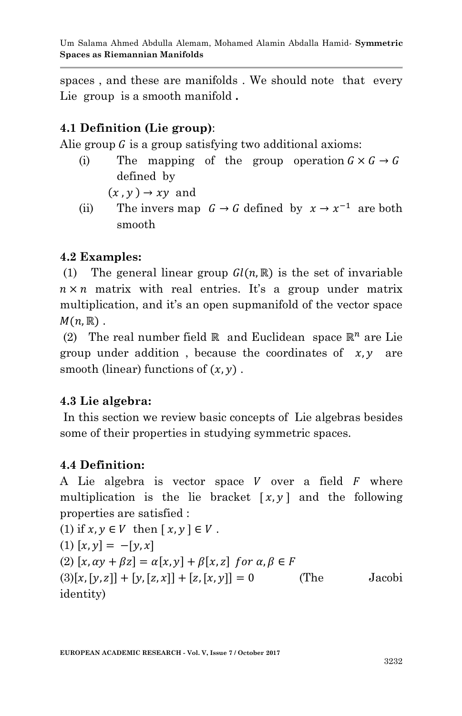spaces , and these are manifolds . We should note that every Lie group is a smooth manifold **.**

### **4.1 Definition (Lie group)**:

Alie group  $G$  is a group satisfying two additional axioms:

(i) The mapping of the group operation  $G \times G \rightarrow G$ defined by

 $(x, y) \rightarrow xy$  and

(ii) The invers map  $G \rightarrow G$  defined by  $x \rightarrow x^{-1}$  are both smooth

### **4.2 Examples:**

(1) The general linear group  $Gl(n,\mathbb{R})$  is the set of invariable  $n \times n$  matrix with real entries. It's a group under matrix multiplication, and it's an open supmanifold of the vector space  $M(n,\mathbb{R})$ .

(2) The real number field  $\mathbb R$  and Euclidean space  $\mathbb R^n$  are Lie group under addition, because the coordinates of  $x, y$  are smooth (linear) functions of  $(x, y)$ .

### **4.3 Lie algebra:**

In this section we review basic concepts of Lie algebras besides some of their properties in studying symmetric spaces.

#### **4.4 Definition:**

A Lie algebra is vector space  $V$  over a field  $F$  where multiplication is the lie bracket  $[x, y]$  and the following properties are satisfied :

(1) if 
$$
x, y \in V
$$
 then  $[x, y] \in V$ .  
\n(1)  $[x, y] = -[y, x]$   
\n(2)  $[x, \alpha y + \beta z] = \alpha[x, y] + \beta[x, z]$  for  $\alpha, \beta \in F$   
\n(3)  $[x, [y, z]] + [y, [z, x]] + [z, [x, y]] = 0$  (The Jacobi identity)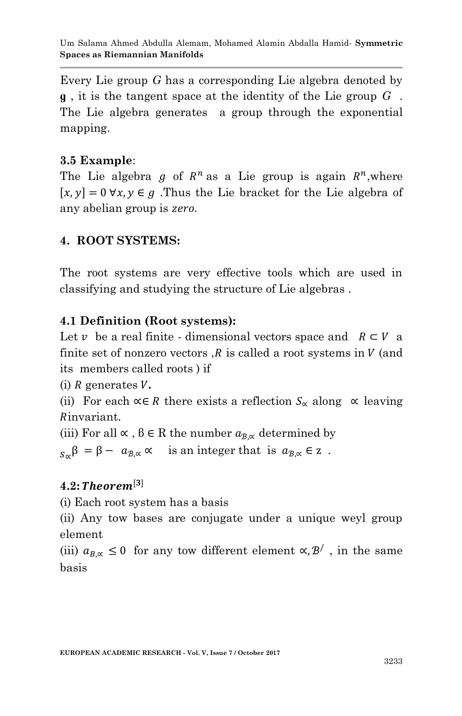Every Lie group *G* has a corresponding Lie algebra denoted by **ɡ** , it is the tangent space at the identity of the Lie group *G* . The Lie algebra generates a group through the exponential mapping.

#### **3.5 Example**:

The Lie algebra g of  $R^n$  as a Lie group is again  $R^n$ , where  $[x, y] = 0 \forall x, y \in g$ . Thus the Lie bracket for the Lie algebra of any abelian group is zero.

### **4. ROOT SYSTEMS:**

The root systems are very effective tools which are used in classifying and studying the structure of Lie algebras .

### **4.1 Definition (Root systems):**

Let v be a real finite - dimensional vectors space and  $R \subset V$  a finite set of nonzero vectors  $R$  is called a root systems in  $V$  (and its members called roots ) if

 $(i)$  R generates  $V$ .

(ii) For each  $\alpha \in R$  there exists a reflection  $S_{\alpha}$  along  $\alpha$  leaving Rinvariant.

(iii) For all  $\propto$ ,  $\beta \in \mathbb{R}$  the number  $a_{\beta,\alpha}$  determined by

 $s_{\alpha} \beta = \beta - a_{\beta, \alpha} \alpha$  is an integer that is  $a_{\beta, \alpha} \in \mathbb{Z}$ .

### $4.2: Theorem<sup>[3]</sup>$

(i) Each root system has a basis

(ii) Any tow bases are conjugate under a unique weyl group element

(iii)  $a_{B,\alpha} \leq 0$  for any tow different element  $\alpha, \beta'$ , in the same basis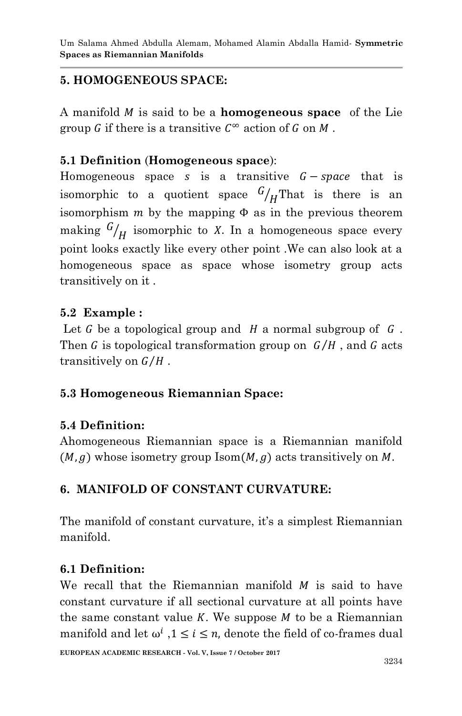## **5. HOMOGENEOUS SPACE:**

A manifold is said to be a **homogeneous space** of the Lie group G if there is a transitive  $C^{\infty}$  action of G on M.

### **5.1 Definition** (**Homogeneous space**):

Homogeneous space s is a transitive  $G$  – space that is isomorphic to a quotient space  $\frac{G}{H}$ That is there is an isomorphism  $m$  by the mapping  $\Phi$  as in the previous theorem making  $\binom{G}{H}$  isomorphic to X. In a homogeneous space every point looks exactly like every other point .We can also look at a homogeneous space as space whose isometry group acts transitively on it .

#### **5.2 Example :**

Let G be a topological group and H a normal subgroup of  $G$ . Then G is topological transformation group on  $G/H$ , and G acts transitively on  $G/H$ .

### **5.3 Homogeneous Riemannian Space:**

### **5.4 Definition:**

Ahomogeneous Riemannian space is a Riemannian manifold  $(M, g)$  whose isometry group Isom  $(M, g)$  acts transitively on M.

### **6. MANIFOLD OF CONSTANT CURVATURE:**

The manifold of constant curvature, it's a simplest Riemannian manifold.

#### **6.1 Definition:**

We recall that the Riemannian manifold  $M$  is said to have constant curvature if all sectional curvature at all points have the same constant value  $K$ . We suppose  $M$  to be a Riemannian manifold and let  $\omega^i$ ,  $1 \le i \le n$ , denote the field of co-frames dual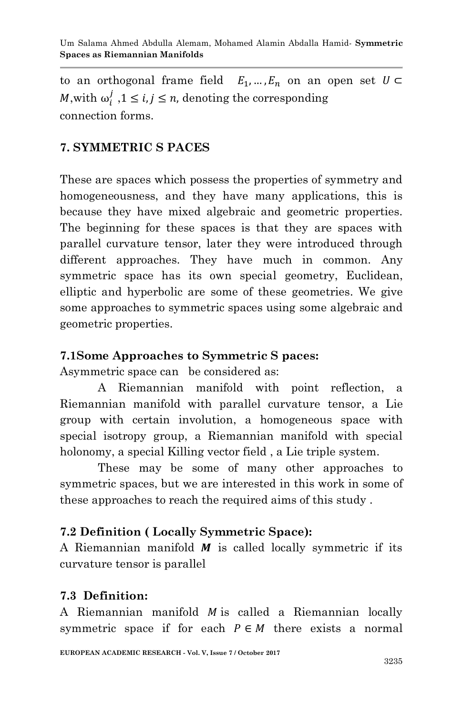to an orthogonal frame field  $E_1, ..., E_n$  on an open set  $U \subset$ *M*, with  $\omega_i^j$ ,  $1 \le i, j \le n$ , denoting the corresponding connection forms.

### **7. SYMMETRIC S PACES**

These are spaces which possess the properties of symmetry and homogeneousness, and they have many applications, this is because they have mixed algebraic and geometric properties. The beginning for these spaces is that they are spaces with parallel curvature tensor, later they were introduced through different approaches. They have much in common. Any symmetric space has its own special geometry, Euclidean, elliptic and hyperbolic are some of these geometries. We give some approaches to symmetric spaces using some algebraic and geometric properties.

#### **7.1Some Approaches to Symmetric S paces:**

Asymmetric space can be considered as:

A Riemannian manifold with point reflection, a Riemannian manifold with parallel curvature tensor, a Lie group with certain involution, a homogeneous space with special isotropy group, a Riemannian manifold with special holonomy, a special Killing vector field , a Lie triple system.

These may be some of many other approaches to symmetric spaces, but we are interested in this work in some of these approaches to reach the required aims of this study .

### **7.2 Definition ( Locally Symmetric Space):**

A Riemannian manifold  $M$  is called locally symmetric if its curvature tensor is parallel

#### **7.3 Definition:**

A Riemannian manifold  $M$  is called a Riemannian locally symmetric space if for each  $P \in M$  there exists a normal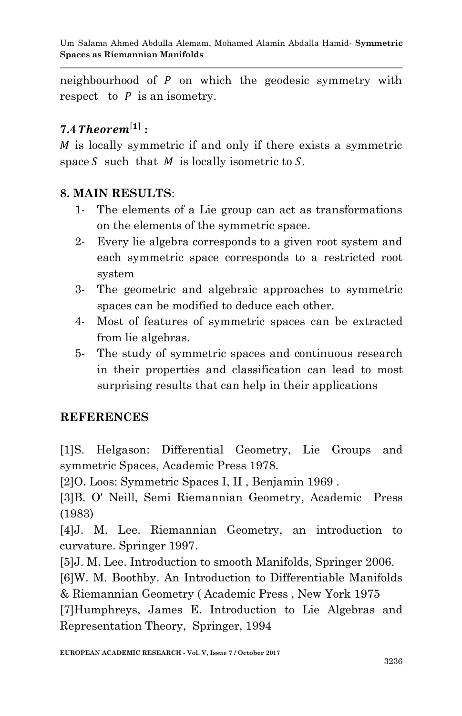neighbourhood of  $P$  on which the geodesic symmetry with respect to  $P$  is an isometry.

# **7.4** Theorem<sup>[1]</sup>:

 $M$  is locally symmetric if and only if there exists a symmetric space S such that  $M$  is locally isometric to S.

### **8. MAIN RESULTS**:

- 1- The elements of a Lie group can act as transformations on the elements of the symmetric space.
- 2- Every lie algebra corresponds to a given root system and each symmetric space corresponds to a restricted root system
- 3- The geometric and algebraic approaches to symmetric spaces can be modified to deduce each other.
- 4- Most of features of symmetric spaces can be extracted from lie algebras.
- 5- The study of symmetric spaces and continuous research in their properties and classification can lead to most surprising results that can help in their applications

# **REFERENCES**

[1]S. Helgason: Differential Geometry, Lie Groups and symmetric Spaces, Academic Press 1978.

[2]O. Loos: Symmetric Spaces I, II , Benjamin 1969 .

[3]B. O' Neill, Semi Riemannian Geometry, Academic Press (1983)

[4]J. M. Lee. Riemannian Geometry, an introduction to curvature. Springer 1997.

[5]J. M. Lee. Introduction to smooth Manifolds, Springer 2006.

[6]W. M. Boothby. An Introduction to Differentiable Manifolds & Riemannian Geometry ( Academic Press , New York 1975

[7]Humphreys, James E. Introduction to Lie Algebras and Representation Theory, Springer, 1994